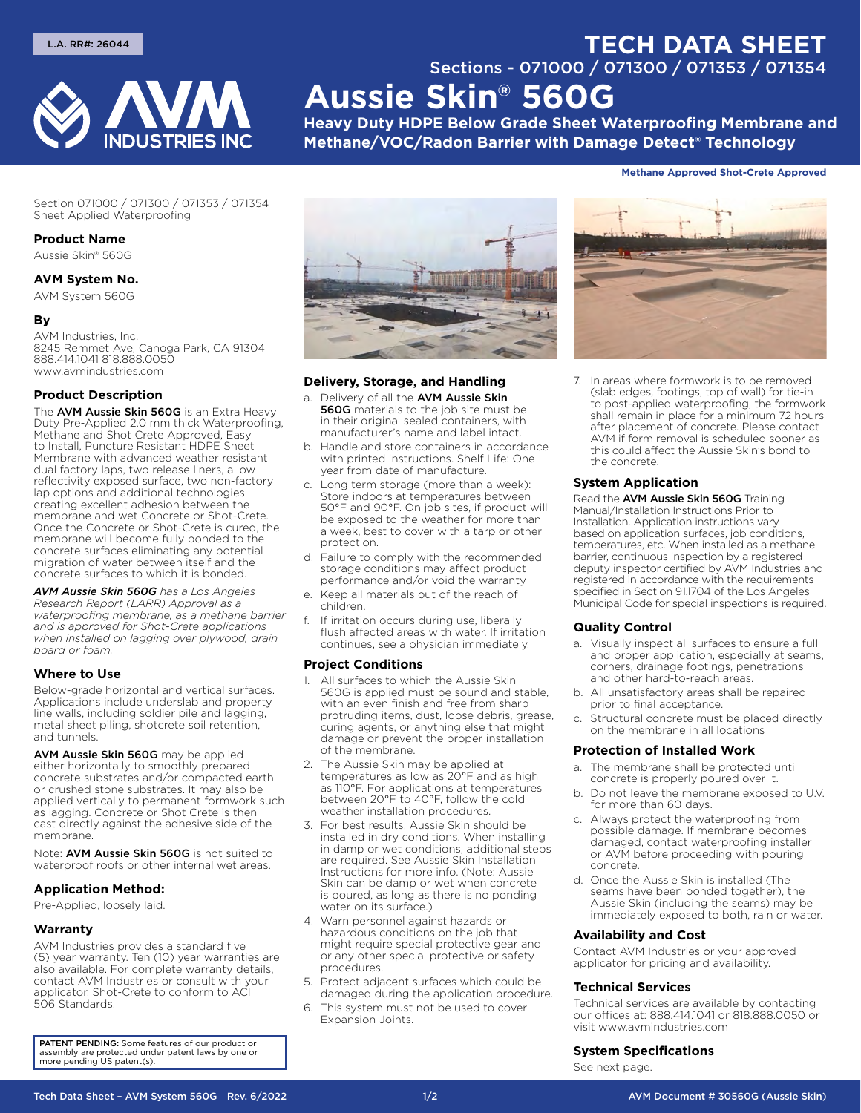

# **TECH DATA SHEET** Sections - 071000 / 071300 / 071353 / 071354 **Aussie Skin® 560G**

**Heavy Duty HDPE Below Grade Sheet Waterproofing Membrane and Methane/VOC/Radon Barrier with Damage Detect® Technology**

#### **Methane Approved Shot‑Crete Approved**

Section 071000 / 071300 / 071353 / 071354 Sheet Applied Waterproofing

#### **Product Name**

Aussie Skin® 560G

#### **AVM System No.**

AVM System 560G

## **By**

AVM Industries, Inc. 8245 Remmet Ave, Canoga Park, CA 91304 888.414.1041 818.888.0050 www.avmindustries.com

### **Product Description**

The AVM Aussie Skin 560G is an Extra Heavy Duty Pre-Applied 2.0 mm thick Waterproofing, Methane and Shot Crete Approved, Easy to Install, Puncture Resistant HDPE Sheet Membrane with advanced weather resistant dual factory laps, two release liners, a low reflectivity exposed surface, two non-factory lap options and additional technologies creating excellent adhesion between the membrane and wet Concrete or Shot-Crete. Once the Concrete or Shot-Crete is cured, the membrane will become fully bonded to the concrete surfaces eliminating any potential migration of water between itself and the concrete surfaces to which it is bonded.

*AVM Aussie Skin 560G has a Los Angeles Research Report (LARR) Approval as a waterproofing membrane, as a methane barrier and is approved for Shot-Crete applications when installed on lagging over plywood, drain board or foam.*

#### **Where to Use**

Below-grade horizontal and vertical surfaces. Applications include underslab and property line walls, including soldier pile and lagging, metal sheet piling, shotcrete soil retention, and tunnels.

AVM Aussie Skin 560G may be applied either horizontally to smoothly prepared concrete substrates and/or compacted earth or crushed stone substrates. It may also be applied vertically to permanent formwork such as lagging. Concrete or Shot Crete is then cast directly against the adhesive side of the membrane.

Note: AVM Aussie Skin 560G is not suited to waterproof roofs or other internal wet areas.

## **Application Method:**

Pre-Applied, loosely laid.

#### **Warranty**

AVM Industries provides a standard five (5) year warranty. Ten (10) year warranties are also available. For complete warranty details, contact AVM Industries or consult with your applicator. Shot-Crete to conform to ACI 506 Standards.

PATENT PENDING: Some features of our product or assembly are protected under patent laws by one or more pending US patent(s).



## **Delivery, Storage, and Handling**

- a. Delivery of all the AVM Aussie Skin **560G** materials to the job site must be in their original sealed containers, with manufacturer's name and label intact.
- b. Handle and store containers in accordance with printed instructions. Shelf Life: One year from date of manufacture.
- c. Long term storage (more than a week): Store indoors at temperatures between 50°F and 90°F. On job sites, if product will be exposed to the weather for more than a week, best to cover with a tarp or other protection.
- d. Failure to comply with the recommended storage conditions may affect product performance and/or void the warranty
- e. Keep all materials out of the reach of children.
- f. If irritation occurs during use, liberally flush affected areas with water. If irritation continues, see a physician immediately.

## **Project Conditions**

- All surfaces to which the Aussie Skin 560G is applied must be sound and stable, with an even finish and free from sharp protruding items, dust, loose debris, grease, curing agents, or anything else that might damage or prevent the proper installation of the membrane.
- 2. The Aussie Skin may be applied at temperatures as low as 20°F and as high as 110°F. For applications at temperatures between 20°F to 40°F, follow the cold weather installation procedures.
- 3. For best results, Aussie Skin should be installed in dry conditions. When installing in damp or wet conditions, additional steps are required. See Aussie Skin Installation Instructions for more info. (Note: Aussie Skin can be damp or wet when concrete is poured, as long as there is no ponding water on its surface.)
- 4. Warn personnel against hazards or hazardous conditions on the job that might require special protective gear and or any other special protective or safety procedures.
- 5. Protect adjacent surfaces which could be damaged during the application procedure.
- 6. This system must not be used to cover Expansion Joints.



7. In areas where formwork is to be removed (slab edges, footings, top of wall) for tie-in to post-applied waterproofing, the formwork shall remain in place for a minimum 72 hours after placement of concrete. Please contact AVM if form removal is scheduled sooner as this could affect the Aussie Skin's bond to the concrete.

## **System Application**

Read the AVM Aussie Skin 560G Training Manual/Installation Instructions Prior to Installation. Application instructions vary based on application surfaces, job conditions, temperatures, etc. When installed as a methane barrier, continuous inspection by a registered deputy inspector certified by AVM Industries and registered in accordance with the requirements specified in Section 91.1704 of the Los Angeles Municipal Code for special inspections is required.

#### **Quality Control**

- a. Visually inspect all surfaces to ensure a full and proper application, especially at seams, corners, drainage footings, penetrations and other hard-to-reach areas.
- b. All unsatisfactory areas shall be repaired prior to final acceptance.
- Structural concrete must be placed directly on the membrane in all locations

### **Protection of Installed Work**

- a. The membrane shall be protected until concrete is properly poured over it.
- b. Do not leave the membrane exposed to U.V. for more than 60 days.
- c. Always protect the waterproofing from possible damage. If membrane becomes damaged, contact waterproofing installer or AVM before proceeding with pouring concrete.
- d. Once the Aussie Skin is installed (The seams have been bonded together), the Aussie Skin (including the seams) may be immediately exposed to both, rain or water.

#### **Availability and Cost**

Contact AVM Industries or your approved applicator for pricing and availability.

## **Technical Services**

Technical services are available by contacting our offices at: 888.414.1041 or 818.888.0050 or visit www.avmindustries.com

## **System Specifications**

See next page.